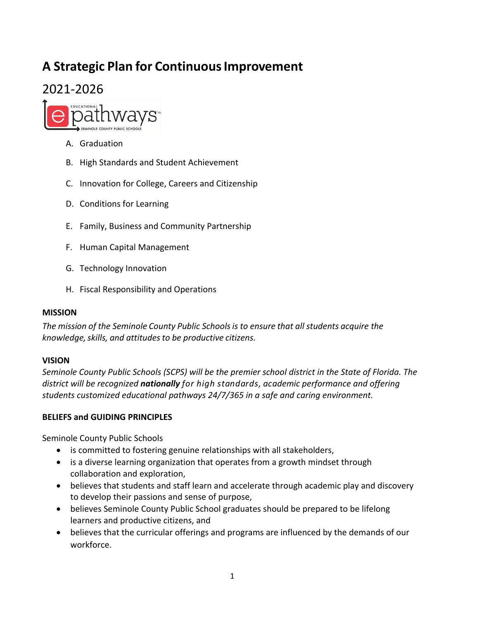# **A Strategic Plan for Continuous Improvement**

# 2021‐2026



- A. Graduation
- B. High Standards and Student Achievement
- C. Innovation for College, Careers and Citizen ship
- D. Conditions for Learning
- E. Family, Business and Community Partners hip
- F. Human Capital Management
- G. Technology Innovation
- H. Fiscal Responsibility and Operations

#### **MISSION**

*The mission of the Seminole County Public Schools is to ensure that all students acquire the knowledge, skills, and attitudes to be productive citizens.* 

#### **VISION**

*Seminole County Public Schools (SCPS) will be the premier school district in the State of Florida. The district will be recognized nationally for high standards, academic performance and offering students customized educational pathways 24/7/365 in a safe and caring environment.*

#### **BELIEFS and GUIDING PRINCIPLES**

Seminole County Public Schools

- is committed to fostering genuine relationships with all stakeholders,
- is a diverse learning organization that operates from a growth mindset through collaboration and exploration,
- believes that students and staff learn and accelerate through academic play and discovery to develop their passions and sense of purpose,
- believes Seminole County Public School graduates should be prepared to be lifelong learners and productive citizens, and
- believes that the curricular offerings and programs are influenced by the demands of our workforce.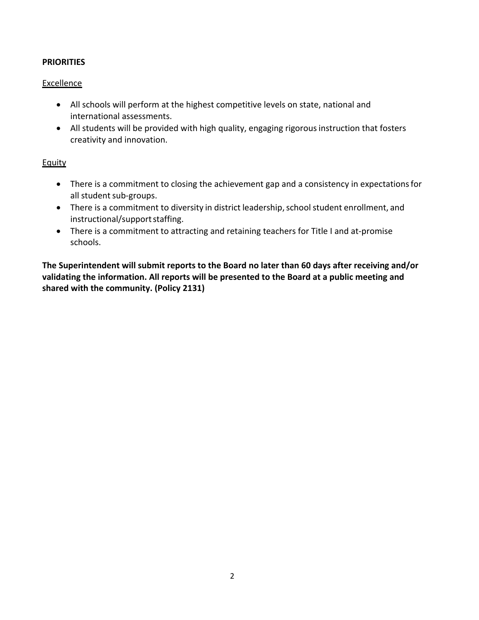## **PRIORITIES**

### **Excellence**

- All schools will perform at the highest competitive levels on state, national and international assessments.
- All students will be provided with high quality, engaging rigorous instruction that fosters creativity and innovation.

#### **Equity**

- There is a commitment to closing the achievement gap and a consistency in expectations for all student sub‐groups.
- There is a commitment to diversity in district leadership, school student enrollment, and instructional/support staffing.
- There is a commitment to attracting and retaining teachers for Title I and at-promise schools.

**The Superintendent will submit reports to the Board no later than 60 days after receiving and/or validating the information. All reports will be presented to the Board at a public meeting and shared with the community. (Policy 2131)**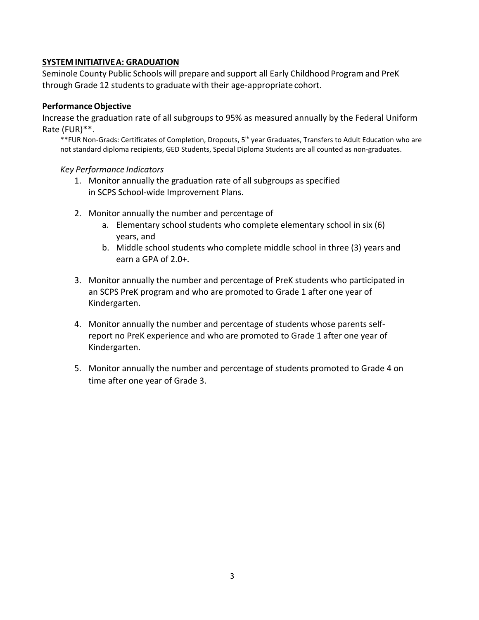## **SYSTEM INITIATIVE A: GRADUATION**

Seminole County Public Schools will prepare and support all Early Childhood Program and PreK through Grade 12 students to graduate with their age‐appropriate cohort.

#### **Performance Objective**

 Rate (FUR)\*\*. Increase the graduation rate of all subgroups to 95% as measured annually by the Federal Uniform

\*\*FUR Non-Grads: Certificates of Completion, Dropouts, 5<sup>th</sup> year Graduates, Transfers to Adult Education who are not standard diploma recipients, GED Students, Special Diploma Students are all counted as non‐graduates.

#### *Key Performance Indicators*

- 1. Monitor annually the graduation rate of all subgroups as specified in SCPS School‐wide Improvement Plans.
- 2. Monitor annually the number and percentage of
	- a. Elementary school students who complete elementary school in six (6) years, and
	- b. Middle school students who complete middle school in three (3) years and earn a GPA of 2.0+.
- 3. Monitor annually the number and percentage of PreK students who participated in an SCPS PreK program and who are promoted to Grade 1 after one year of Kindergarten.
- 4. Monitor annually the number and percentage of students whose parents self‐ report no PreK experience and who are promoted to Grade 1 after one year of Kindergarten.
- 5. Monitor annually the number and percentage of students promoted to Grade 4 on time after one year of Grade 3.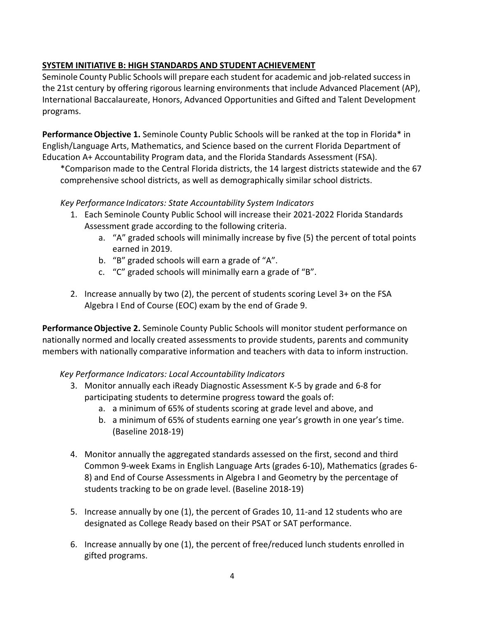# **SYSTEM INITIATIVE B: HIGH STANDARDS AND STUDENT ACHIEVEMENT**

Seminole County Public Schools will prepare each student for academic and job-related success in the 21st century by offering rigorous learning environments that include Advanced Placement (AP), International Baccalaureate, Honors, Advanced Opportunities and Gifted and Talent Development programs.

**Performance Objective 1.** Seminole County Public Schools will be ranked at the top in Florida\* in English/Language Arts, Mathematics, and Science based on the current Florida Department of Education A+ Accountability Program data, and the Florida Standards Assessment (FSA).

\*Comparison made to the Central Florida districts, the 14 largest districts statewide and the 67 comprehensive school districts, as well as demographically similar school districts.

### *Key Performance Indicators: State Accountability System Indicators*

- 1. Each Seminole County Public School will increase their 2021‐2022 Florida Standards Assessment grade according to the following criteria.
	- a. "A" graded schools will minimally increase by five (5) the percent of total points earned in 2019.
	- b. "B" graded schools will earn a grade of "A".
	- c. "C" graded schools will minimally earn a grade of "B".
- 2. Increase annually by two (2), the percent of students scoring Level 3+ on the FSA Algebra I End of Course (EOC) exam by the end of Grade 9.

**Performance Objective 2.** Seminole County Public Schools will monitor student performance on nationally normed and locally created assessments to provide students, parents and community members with nationally comparative information and teachers with data to inform instruction.

# *Key Performance Indicators: Local Accountability Indicators*

- 3. Monitor annually each iReady Diagnostic Assessment K‐5 by grade and 6‐8 for participating students to determine progress toward the goals of:
	- a. a minimum of 65% of students scoring at grade level and above, and
	- b. a minimum of 65% of students earning one year's growth in one year's time. (Baseline 2018‐19)
- 4. Monitor annually the aggregated standards assessed on the first, second and third Common 9‐week Exams in English Language Arts (grades 6‐10), Mathematics (grades 6‐ 8) and End of Course Assessments in Algebra I and Geometry by the percentage of students tracking to be on grade level. (Baseline 2018‐19)
- designated as College Ready based on their PSAT or SAT performance. 5. Increase annually by one (1), the percent of Grades 10, 11-and 12 students who are
- 6. Increase annually by one (1), the percent of free/reduced lunch students enrolled in gifted programs.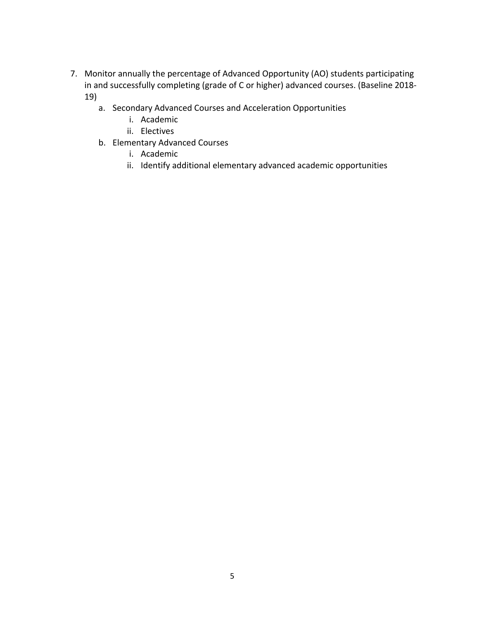- 7. Monitor annually the percentage of Advanced Opportunity (AO) students participating in and successfully completing (grade of C or higher) advanced courses. (Baseline 2018‐ 19)
	- a. Secondary Advanced Courses and Acceleration Opportunities
		- i. Academic
		- ii. Electives
	- b. Elementary Advanced Courses
		- i. Academic
		- ii. Identify additional elementary advanced academic opportunities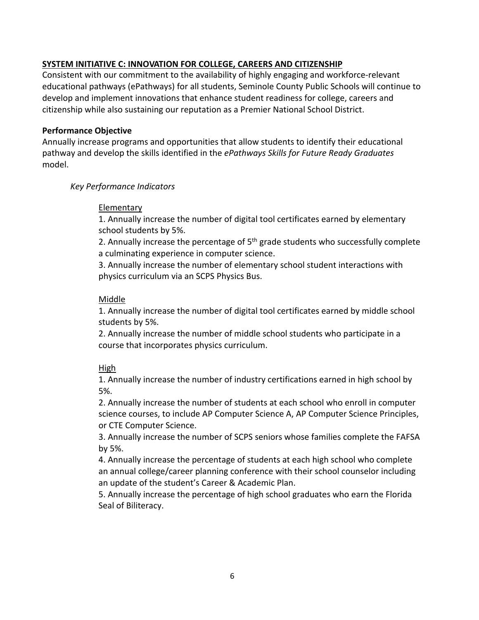# **SYSTEM INITIATIVE C: INNOVATION FOR COLLEGE, CAREERS AND CITIZENSHIP**

Consistent with our commitment to the availability of highly engaging and workforce‐relevant educational pathways (ePathways) for all students, Seminole County Public Schools will continue to develop and implement innovations that enhance student readiness for college, careers and citizenship while also sustaining our reputation as a Premier National School District.

### **Performance Objective**

Annually increase programs and opportunities that allow students to identify their educational pathway and develop the skills identified in the *ePathways Skills for Future Ready Graduates*  model.

### *Key Performance Indicators*

# Elementary

1. Annually increase the number of digital tool certificates earned by elementary school students by 5%.

2. Annually increase the percentage of  $5<sup>th</sup>$  grade students who successfully complete a culminating experience in computer science.

3. Annually increase the number of elementary school student interactions with physics curriculum via an SCPS Physics Bus.

### Middle

1. Annually increase the number of digital tool certificates earned by middle school students by 5%.

2. Annually increase the number of middle school students who participate in a course that incorporates physics curriculum.

# High

1. Annually increase the number of industry certifications earned in high school by 5%.

2. Annually increase the number of students at each school who enroll in computer science courses, to include AP Computer Science A, AP Computer Science Principles, or CTE Computer Science.

3. Annually increase the number of SCPS seniors whose families complete the FAFSA by 5%.

4. Annually increase the percentage of students at each high school who complete an annual college/career planning conference with their school counselor including an update of the student's Career & Academic Plan.

5. Annually increase the percentage of high school graduates who earn the Florida Seal of Biliteracy.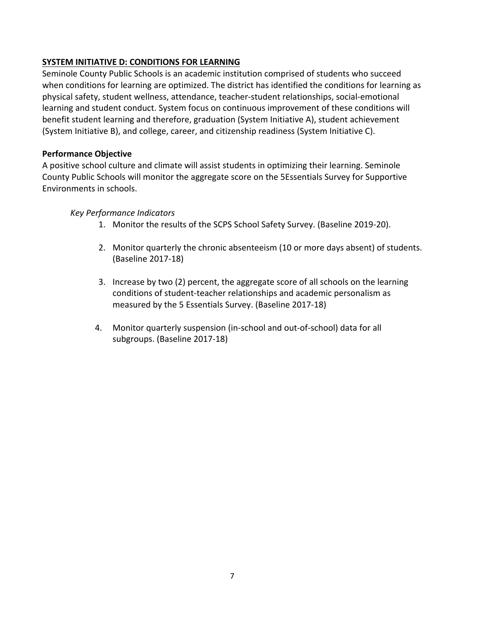# **SYSTEM INITIATIVE D: CONDITIONS FOR LEARNING**

Seminole County Public Schools is an academic institution comprised of students who succeed when conditions for learning are optimized. The district has identified the conditions for learning as physical safety, student wellness, attendance, teacher‐student relationships, social‐emotional learning and student conduct. System focus on continuous improvement of these conditions will benefit student learning and therefore, graduation (System Initiative A), student achievement (System Initiative B), and college, career, and citizenship readiness (System Initiative C).

## **Performance Objective**

A positive school culture and climate will assist students in optimizing their learning. Seminole County Public Schools will monitor the aggregate score on the 5Essentials Survey for Supportive Environments in schools.

### *Key Performance Indicators*

- 1. Monitor the results of the SCPS School Safety Survey. (Baseline 2019‐20).
- 2. Monitor quarterly the chronic absenteeism (10 or more days absent) of students. (Baseline 2017‐18)
- 3. Increase by two (2) percent, the aggregate score of all schools on the learning conditions of student‐teacher relationships and academic personalism as measured by the 5 Essentials Survey. (Baseline 2017‐18)
- 4. Monitor quarterly suspension (in‐school and out‐of‐school) data for all subgroups. (Baseline 2017‐18)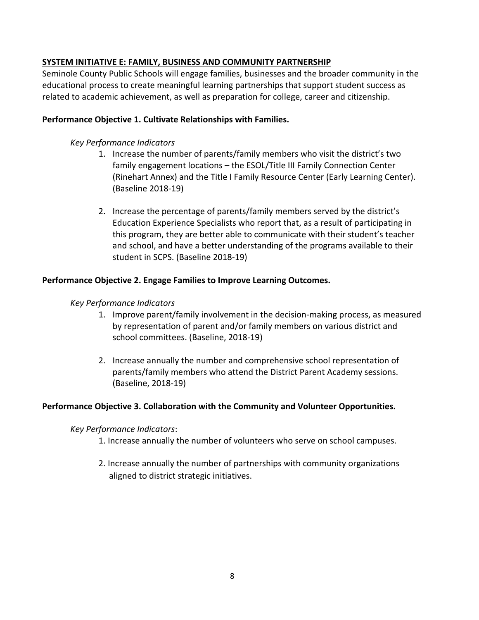# **SYSTEM INITIATIVE E: FAMILY, BUSINESS AND COMMUNITY PARTNERSHIP**

Seminole County Public Schools will engage families, businesses and the broader community in the educational process to create meaningful learning partnerships that support student success as related to academic achievement, as well as preparation for college, career and citizenship.

## **Performance Objective 1. Cultivate Relationships with Families.**

## *Key Performance Indicators*

- 1. Increase the number of parents/family members who visit the district's two family engagement locations – the ESOL/Title III Family Connection Center (Rinehart Annex) and the Title I Family Resource Center (Early Learning Center). (Baseline 2018‐19)
- 2. Increase the percentage of parents/family members served by the district's Education Experience Specialists who report that, as a result of participating in this program, they are better able to communicate with their student's teacher and school, and have a better understanding of the programs available to their student in SCPS. (Baseline 2018‐19)

### **Performance Objective 2. Engage Families to Improve Learning Outcomes.**

#### *Key Performance Indicators*

- 1. Improve parent/family involvement in the decision‐making process, as measured by representation of parent and/or family members on various district and school committees. (Baseline, 2018‐19)
- 2. Increase annually the number and comprehensive school representation of parents/family members who attend the District Parent Academy sessions. (Baseline, 2018‐19)

#### **Performance Objective 3. Collaboration with the Community and Volunteer Opportunities.**

#### *Key Performance Indicators*:

- 1. Increase annually the number of volunteers who serve on school campuses.
- 2. Increase annually the number of partnerships with community organizations aligned to district strategic initiatives.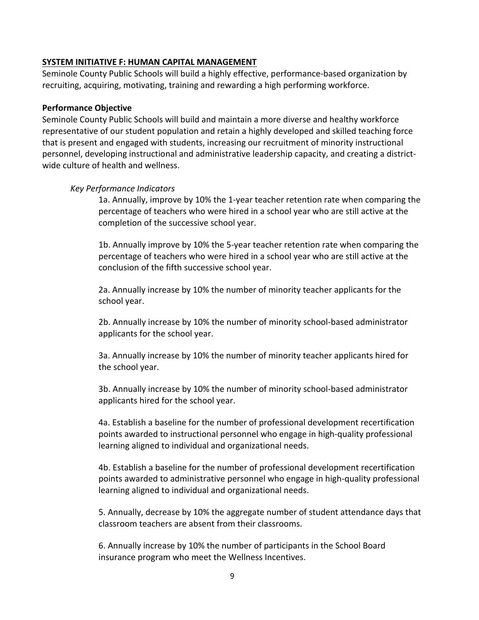#### **SYSTEM INITIATIVE F: HUMAN CAPITAL MANAGEMENT**

Seminole County Public Schools will build a highly effective, performance-based organization by recruiting, acquiring, motivating, training and rewarding a high performing workforce.

#### **Performance Objective**

Seminole County Public Schools will build and maintain a more diverse and healthy workforce representative of our student population and retain a highly developed and skilled teaching force that is present and engaged with students, increasing our recruitment of minority instructional personnel, developing instructional and administrative leadership capacity, and creating a district‐ wide culture of health and wellness.

### *Key Performance Indicators*

1a. Annually, improve by 10% the 1‐year teacher retention rate when comparing the percentage of teachers who were hired in a school year who are still active at the completion of the successive school year.

1b. Annually improve by 10% the 5‐year teacher retention rate when comparing the percentage of teachers who were hired in a school year who are still active at the conclusion of the fifth successive school year.

2a. Annually increase by 10% the number of minority teacher applicants for the school year.

2b. Annually increase by 10% the number of minority school‐based administrator applicants for the school year.

3a. Annually increase by 10% the number of minority teacher applicants hired for the school year.

3b. Annually increase by 10% the number of minority school‐based administrator applicants hired for the school year.

4a. Establish a baseline for the number of professional development recertification points awarded to instructional personnel who engage in high‐quality professional learning aligned to individual and organizational needs.

4b. Establish a baseline for the number of professional development recertification points awarded to administrative personnel who engage in high‐quality professional learning aligned to individual and organizational needs.

5. Annually, decrease by 10% the aggregate number of student attendance days that classroom teachers are absent from their classrooms.

 insurance program who meet the Wellness Incentives. 6. Annually increase by 10% the number of participants in the School Board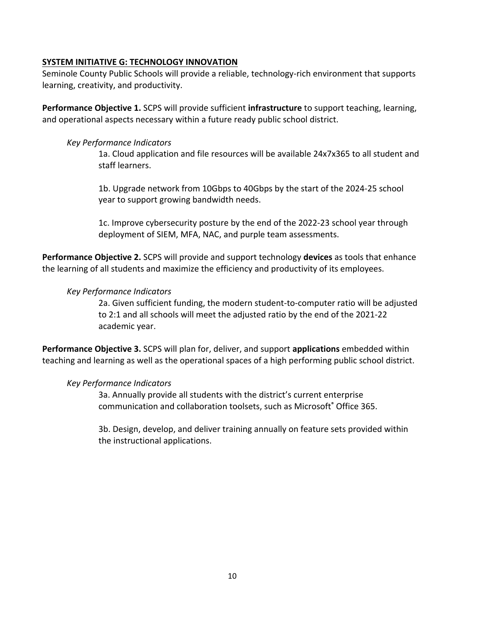### **SYSTEM INITIATIVE G: TECHNOLOGY INNOVATION**

Seminole County Public Schools will provide a reliable, technology-rich environment that supports learning, creativity, and productivity.

**Performance Objective 1.** SCPS will provide sufficient **infrastructure** to support teaching, learning, and operational aspects necessary within a future ready public school district.

#### *Key Performance Indicators*

1a. Cloud application and file resources will be available 24x7x365 to all student and staff learners.

1b. Upgrade network from 10Gbps to 40Gbps by the start of the 2024‐25 school year to support growing bandwidth needs.

1c. Improve cybersecurity posture by the end of the 2022‐23 school year through deployment of SIEM, MFA, NAC, and purple team assessments.

**Performance Objective 2.** SCPS will provide and support technology **devices** as tools that enhance the learning of all students and maximize the efficiency and productivity of its employees.

#### *Key Performance Indicators*

2a. Given sufficient funding, the modern student‐to‐computer ratio will be adjusted to 2:1 and all schools will meet the adjusted ratio by the end of the 2021‐22 academic year.

**Performance Objective 3.** SCPS will plan for, deliver, and support **applications** embedded within teaching and learning as well as the operational spaces of a high performing public school district.

#### *Key Performance Indicators*

3a. Annually provide all students with the district's current enterprise communication and collaboration toolsets, such as Microsoft**®** Office 365.

3b. Design, develop, and deliver training annually on feature sets provided within the instructional applications.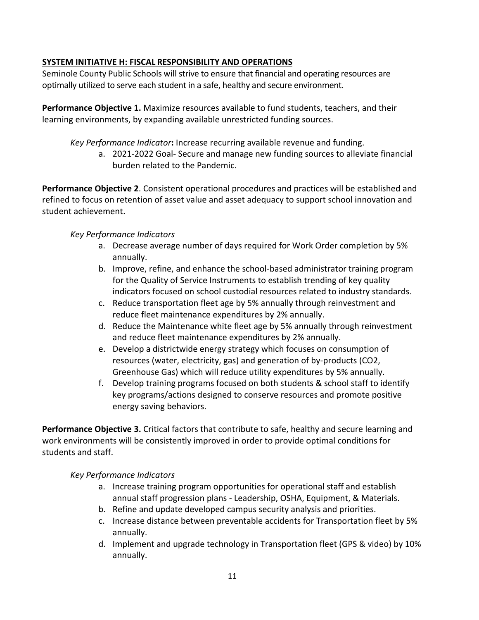# **SYSTEM INITIATIVE H: FISCAL RESPONSIBILITY AND OPERATIONS**

 Seminole County Public Schools will strive to ensure that financial and operating resources are optimally utilized to serve each student in a safe, healthy and secure environment.

**Performance Objective 1.** Maximize resources available to fund students, teachers, and their learning environments, by expanding available unrestricted funding sources.

*Key Performance Indicator***:** Increase recurring available revenue and funding.

a. 2021‐2022 Goal‐ Secure and manage new funding sources to alleviate financial burden related to the Pandemic.

**Performance Objective 2**. Consistent operational procedures and practices will be established and refined to focus on retention of asset value and asset adequacy to support school innovation and student achievement.

# *Key Performance Indicators*

- a. Decrease average number of days required for Work Order completion by 5% annually.
- b. Improve, refine, and enhance the school‐based administrator training program for the Quality of Service Instruments to establish trending of key quality indicators focused on school custodial resources related to industry standards.
- c. Reduce transportation fleet age by 5% annually through reinvestment and reduce fleet maintenance expenditures by 2% annually.
- d. Reduce the Maintenance white fleet age by 5% annually through reinvestment and reduce fleet maintenance expenditures by 2% annually.
- e. Develop a districtwide energy strategy which focuses on consumption of resources (water, electricity, gas) and generation of by‐products (CO2, Greenhouse Gas) which will reduce utility expenditures by 5% annually.
- f. Develop training programs focused on both students & school staff to identify key programs/actions designed to conserve resources and promote positive energy saving behaviors.

**Performance Objective 3.** Critical factors that contribute to safe, healthy and secure learning and work environments will be consistently improved in order to provide optimal conditions for students and staff.

# *Key Performance Indicators*

- a. Increase training program opportunities for operational staff and establish annual staff progression plans ‐ Leadership, OSHA, Equipment, & Materials.
- b. Refine and update developed campus security analysis and priorities.
- c. Increase distance between preventable accidents for Transportation fleet by 5% annually.
- d. Implement and upgrade technology in Transportation fleet (GPS & video) by 10% annually.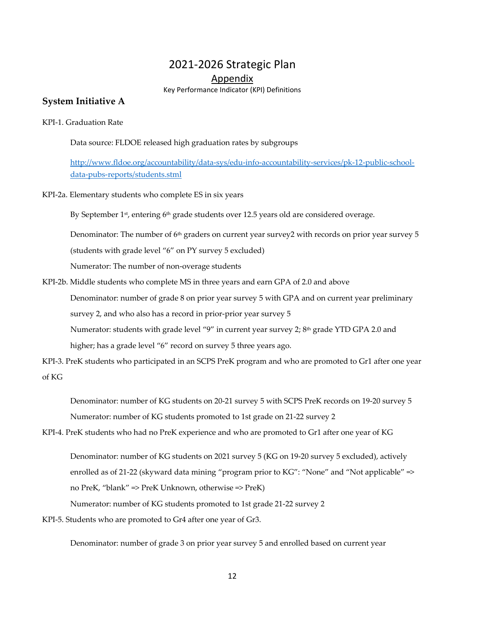# 2021‐2026 Strategic Plan

Appendix

Key Performance Indicator (KPI) Definitions

#### **System Initiative A**

KPI‐1. Graduation Rate

Data source: FLDOE released high graduation rates by subgroups

[http://www.fldoe.org/accountability/data](http://www.fldoe.org/accountability/data-sys/edu-info-accountability-services/pk-12-public-school)-sys/edu-info-accountability-services/pk-12-public-schooldata‐pubs‐reports/students.stml

KPI‐2a. Elementary students who complete ES in six years

By September 1st, entering 6th grade students over 12.5 years old are considered overage.

Denominator: The number of 6<sup>th</sup> graders on current year survey2 with records on prior year survey 5 (students with grade level "6" on PY survey 5 excluded)

Numerator: The number of non‐overage students

 KPI‐2b. Middle students who complete MS in three years and earn GPA of 2.0 and above Denominator: number of grade 8 on prior year survey 5 with GPA and on current year preliminary survey 2, and who also has a record in prior‐prior year survey 5 Numerator: students with grade level "9" in current year survey 2; 8th grade YTD GPA 2.0 and higher; has a grade level "6" record on survey 5 three years ago.

 KPI‐3. PreK students who participated in an SCPS PreK program and who are promoted to Gr1 after one year of KG

 Denominator: number of KG students on 20‐21 survey 5 with SCPS PreK records on 19‐20 survey 5 Numerator: number of KG students promoted to 1st grade on 21‐22 survey 2

KPI‐4. PreK students who had no PreK experience and who are promoted to Gr1 after one year of KG

 Denominator: number of KG students on 2021 survey 5 (KG on 19‐20 survey 5 excluded), actively enrolled as of 21-22 (skyward data mining "program prior to KG": "None" and "Not applicable" => no PreK, "blank" => PreK Unknown, otherwise => PreK)

Numerator: number of KG students promoted to 1st grade 21‐22 survey 2

KPI‐5. Students who are promoted to Gr4 after one year of Gr3.

Denominator: number of grade 3 on prior year survey 5 and enrolled based on current year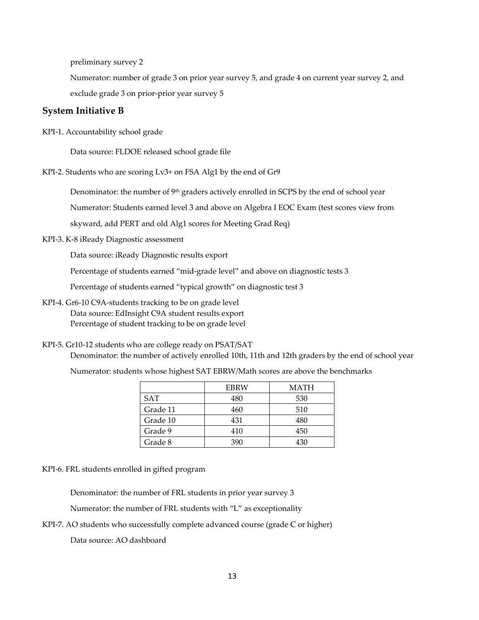preliminary survey 2

 Numerator: number of grade 3 on prior year survey 5, and grade 4 on current year survey 2, and exclude grade 3 on prior‐prior year survey 5

#### **System Initiative B**

KPI‐1. Accountability school grade

Data source: FLDOE released school grade file

KPI‐2. Students who are scoring Lv3+ on FSA Alg1 by the end of Gr9

Denominator: the number of 9<sup>th</sup> graders actively enrolled in SCPS by the end of school year

Numerator: Students earned level 3 and above on Algebra I EOC Exam (test scores view from

skyward, add PERT and old Alg1 scores for Meeting Grad Req)

KPI‐3. K‐8 iReady Diagnostic assessment

Data source: iReady Diagnostic results export

Percentage of students earned "mid‐grade level" and above on diagnostic tests 3

Percentage of students earned "typical growth" on diagnostic test 3

- KPI‐4. Gr6‐10 C9A‐students tracking to be on grade level Data source: EdInsight C9A student results export Percentage of student tracking to be on grade level
- KPI‐5. Gr10‐12 students who are college ready on PSAT/SAT Denominator: the number of actively enrolled 10th, 11th and 12th graders by the end of school year

Numerator: students whose highest SAT EBRW/Math scores are above the benchmarks

|            | EBRW | MATH |
|------------|------|------|
| <b>SAT</b> | 480  | 530  |
| Grade 11   | 460  | 510  |
| Grade 10   | 431  | 480  |
| Grade 9    | 410  | 450  |
| Grade 8    | 390  | 13∩  |

KPI‐6. FRL students enrolled in gifted program

Denominator: the number of FRL students in prior year survey 3

Numerator: the number of FRL students with "L" as exceptionality

KPI‐7. AO students who successfully complete advanced course (grade C or higher)

Data source: AO dashboard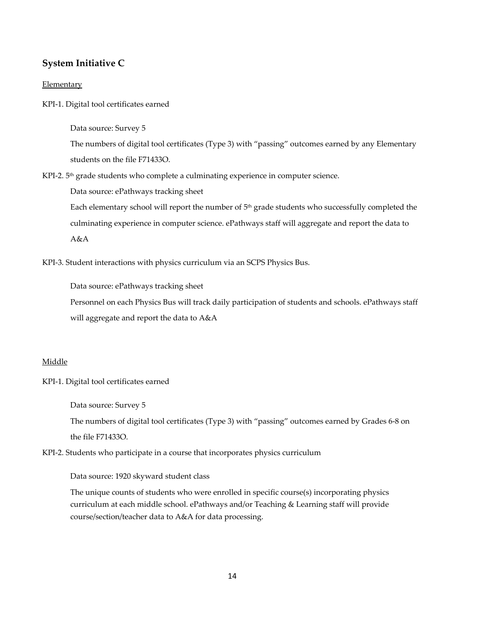## **System Initiative C**

#### **Elementary**

KPI‐1. Digital tool certificates earned

Data source: Survey 5

 The numbers of digital tool certificates (Type 3) with "passing" outcomes earned by any Elementary students on the file F71433O.

KPI-2.  $5<sup>th</sup>$  grade students who complete a culminating experience in computer science.

Data source: ePathways tracking sheet

Each elementary school will report the number of  $5<sup>th</sup>$  grade students who successfully completed the culminating experience in computer science. ePathways staff will aggregate and report the data to A&A

KPI‐3. Student interactions with physics curriculum via an SCPS Physics Bus.

Data source: ePathways tracking sheet

 Personnel on each Physics Bus will track daily participation of students and schools. ePathways staff will aggregate and report the data to A&A

#### Middle

#### KPI‐1. Digital tool certificates earned

Data source: Survey 5

 The numbers of digital tool certificates (Type 3) with "passing" outcomes earned by Grades 6‐8 on the file F71433O.

KPI‐2. Students who participate in a course that incorporates physics curriculum

#### Data source: 1920 skyward student class

 The unique counts of students who were enrolled in specific course(s) incorporating physics curriculum at each middle school. ePathways and/or Teaching & Learning staff will provide course/section/teacher data to A&A for data processing.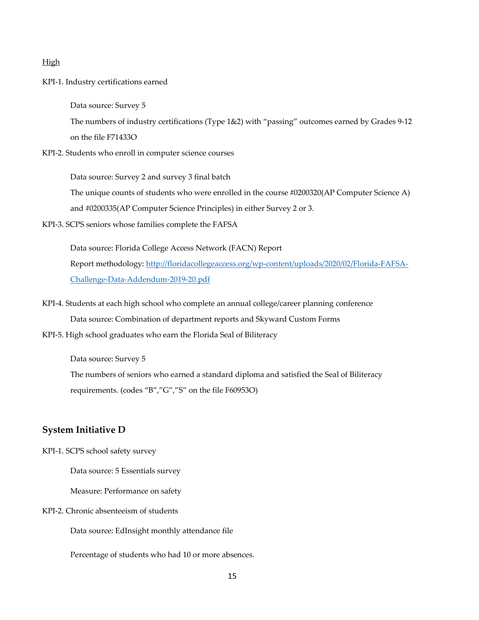#### High

KPI‐1. Industry certifications earned

Data source: Survey 5

 The numbers of industry certifications (Type 1&2) with "passing" outcomes earned by Grades 9‐12 on the file F71433O

KPI‐2. Students who enroll in computer science courses

 Data source: Survey 2 and survey 3 final batch The unique counts of students who were enrolled in the course #0200320(AP Computer Science A) and #0200335(AP Computer Science Principles) in either Survey 2 or 3.

KPI‐3. SCPS seniors whose families complete the FAFSA

 Data source: Florida College Access Network (FACN) Report Report methodology: [http://floridacollegeaccess.org/wp](http://floridacollegeaccess.org/wp-content/uploads/2020/02/Florida-FAFSA)‐content/uploads/2020/02/Florida‐FAFSA‐ Challenge‐Data‐Addendum‐2019‐20.pdf

- KPI‐4. Students at each high school who complete an annual college/career planning conference Data source: Combination of department reports and Skyward Custom Forms
- KPI‐5. High school graduates who earn the Florida Seal of Biliteracy

Data source: Survey 5

 The numbers of seniors who earned a standard diploma and satisfied the Seal of Biliteracy requirements. (codes "B","G","S" on the file F60953O)

#### **System Initiative D**

KPI‐1. SCPS school safety survey

Data source: 5 Essentials survey

Measure: Performance on safety

KPI‐2. Chronic absenteeism of students

Data source: EdInsight monthly attendance file

Percentage of students who had 10 or more absences.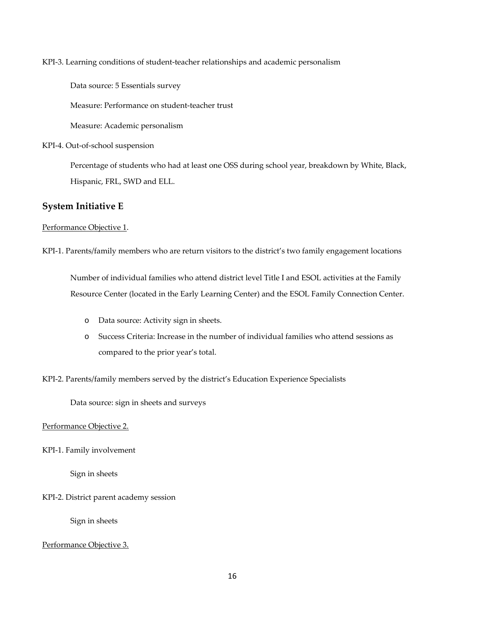KPI‐3. Learning conditions of student‐teacher relationships and academic personalism

Data source: 5 Essentials survey

Measure: Performance on student‐teacher trust

Measure: Academic personalism

KPI‐4. Out‐of‐school suspension

 Percentage of students who had at least one OSS during school year, breakdown by White, Black, Hispanic, FRL, SWD and ELL.

## **System Initiative E**

#### Performance Objective 1.

KPI‐1. Parents/family members who are return visitors to the district's two family engagement locations

 Number of individual families who attend district level Title I and ESOL activities at the Family Resource Center (located in the Early Learning Center) and the ESOL Family Connection Center.

- o Data source: Activity sign in sheets.
- o Success Criteria: Increase in the number of individual families who attend sessions as compared to the prior year's total.
- KPI‐2. Parents/family members served by the district's Education Experience Specialists

Data source: sign in sheets and surveys

Performance Objective 2.

KPI‐1. Family involvement

Sign in sheets

KPI‐2. District parent academy session

Sign in sheets

#### Performance Objective 3.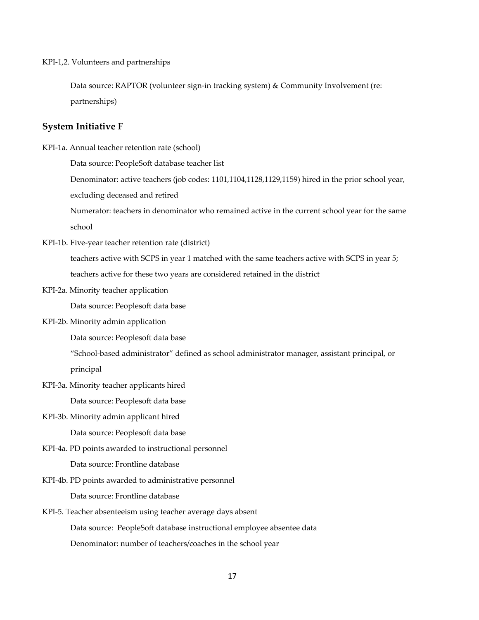KPI‐1,2. Volunteers and partnerships

 Data source: RAPTOR (volunteer sign‐in tracking system) & Community Involvement (re: partnerships)

#### **System Initiative F**

KPI‐1a. Annual teacher retention rate (school)

Data source: PeopleSoft database teacher list

Denominator: active teachers (job codes: 1101,1104,1128,1129,1159) hired in the prior school year,

excluding deceased and retired

 Numerator: teachers in denominator who remained active in the current school year for the same school

KPI‐1b. Five‐year teacher retention rate (district)

 teachers active with SCPS in year 1 matched with the same teachers active with SCPS in year 5; teachers active for these two years are considered retained in the district

KPI‐2a. Minority teacher application

Data source: Peoplesoft data base

KPI‐2b. Minority admin application

Data source: Peoplesoft data base

 "School‐based administrator" defined as school administrator manager, assistant principal, or principal

KPI‐3a. Minority teacher applicants hired

Data source: Peoplesoft data base

KPI‐3b. Minority admin applicant hired

Data source: Peoplesoft data base

KPI‐4a. PD points awarded to instructional personnel

Data source: Frontline database

KPI‐4b. PD points awarded to administrative personnel

Data source: Frontline database

KPI‐5. Teacher absenteeism using teacher average days absent

 Data source: PeopleSoft database instructional employee absentee data Denominator: number of teachers/coaches in the school year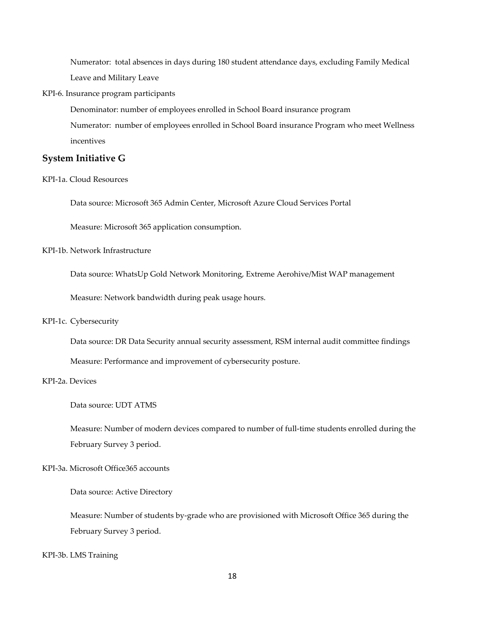Numerator: total absences in days during 180 student attendance days, excluding Family Medical Leave and Military Leave

KPI‐6. Insurance program participants

 Denominator: number of employees enrolled in School Board insurance program Numerator: number of employees enrolled in School Board insurance Program who meet Wellness incentives

#### **System Initiative G**

KPI‐1a. Cloud Resources

Data source: Microsoft 365 Admin Center, Microsoft Azure Cloud Services Portal

Measure: Microsoft 365 application consumption.

KPI‐1b. Network Infrastructure

Data source: WhatsUp Gold Network Monitoring, Extreme Aerohive/Mist WAP management

Measure: Network bandwidth during peak usage hours.

#### KPI-1c. Cybersecurity

 Data source: DR Data Security annual security assessment, RSM internal audit committee findings Measure: Performance and improvement of cybersecurity posture.

#### KPI‐2a. Devices

Data source: UDT ATMS

 Measure: Number of modern devices compared to number of full‐time students enrolled during the February Survey 3 period.

KPI‐3a. Microsoft Office365 accounts

Data source: Active Directory

 Measure: Number of students by‐grade who are provisioned with Microsoft Office 365 during the February Survey 3 period.

KPI‐3b. LMS Training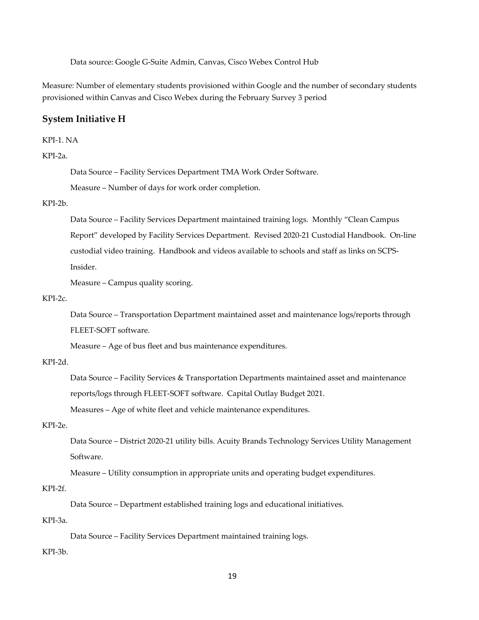Data source: Google G‐Suite Admin, Canvas, Cisco Webex Control Hub

 Measure: Number of elementary students provisioned within Google and the number of secondary students provisioned within Canvas and Cisco Webex during the February Survey 3 period

#### **System Initiative H**

```
  
KPI‐1. NA
```
#### KPI‐2a.

Data Source – Facility Services Department TMA Work Order Software.

Measure – Number of days for work order completion.

#### KPI‐2b.

 Data Source – Facility Services Department maintained training logs. Monthly "Clean Campus Report" developed by Facility Services Department. Revised 2020‐21 Custodial Handbook. On‐line custodial video training. Handbook and videos available to schools and staff as links on SCPS‐ Insider.

Measure – Campus quality scoring.

#### KPI‐2c.

 Data Source – Transportation Department maintained asset and maintenance logs/reports through FLEET‐SOFT software.

Measure – Age of bus fleet and bus maintenance expenditures.

#### KPI‐2d.

 Data Source – Facility Services & Transportation Departments maintained asset and maintenance reports/logs through FLEET‐SOFT software. Capital Outlay Budget 2021.

Measures – Age of white fleet and vehicle maintenance expenditures.

#### KPI‐2e.

 Data Source – District 2020‐21 utility bills. Acuity Brands Technology Services Utility Management Software.

Measure – Utility consumption in appropriate units and operating budget expenditures.

#### KPI‐2f.

Data Source – Department established training logs and educational initiatives.

#### KPI‐3a.

Data Source – Facility Services Department maintained training logs.

#### KPI‐3b.